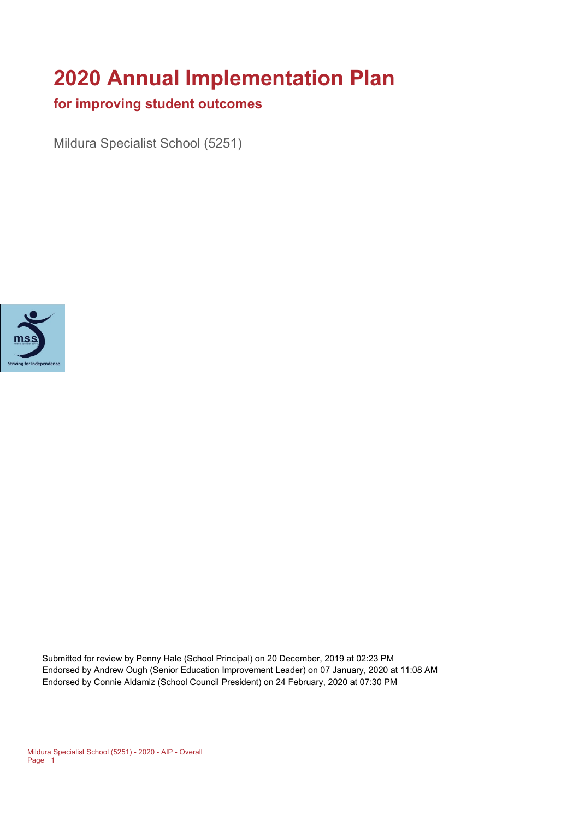# **2020 Annual Implementation Plan**

#### **for improving student outcomes**

Mildura Specialist School (5251)



Submitted for review by Penny Hale (School Principal) on 20 December, 2019 at 02:23 PM Endorsed by Andrew Ough (Senior Education Improvement Leader) on 07 January, 2020 at 11:08 AM Endorsed by Connie Aldamiz (School Council President) on 24 February, 2020 at 07:30 PM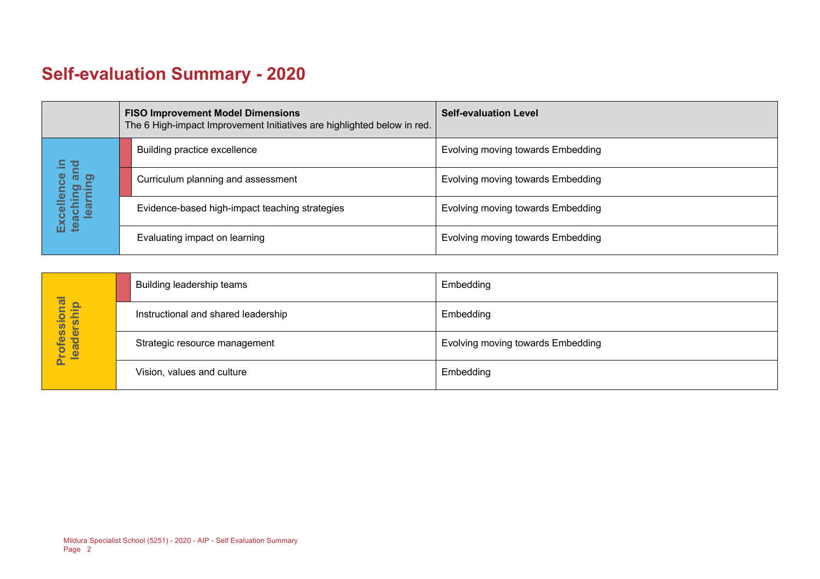## **Self-evaluation Summary - 2020**

|  |                                       | <b>FISO Improvement Model Dimensions</b><br>The 6 High-impact Improvement Initiatives are highlighted below in red. | <b>Self-evaluation Level</b>      |
|--|---------------------------------------|---------------------------------------------------------------------------------------------------------------------|-----------------------------------|
|  | 요.<br>ರ                               | Building practice excellence                                                                                        | Evolving moving towards Embedding |
|  | āΓ<br>ence                            | Curriculum planning and assessment                                                                                  | Evolving moving towards Embedding |
|  | Excellence<br>teaching ar<br>learning | Evidence-based high-impact teaching strategies                                                                      | Evolving moving towards Embedding |
|  |                                       | Evaluating impact on learning                                                                                       | Evolving moving towards Embedding |

|                            | Building leadership teams           | Embedding                         |
|----------------------------|-------------------------------------|-----------------------------------|
| Professional<br>leadership | Instructional and shared leadership | Embedding                         |
|                            | Strategic resource management       | Evolving moving towards Embedding |
|                            | Vision, values and culture          | Embedding                         |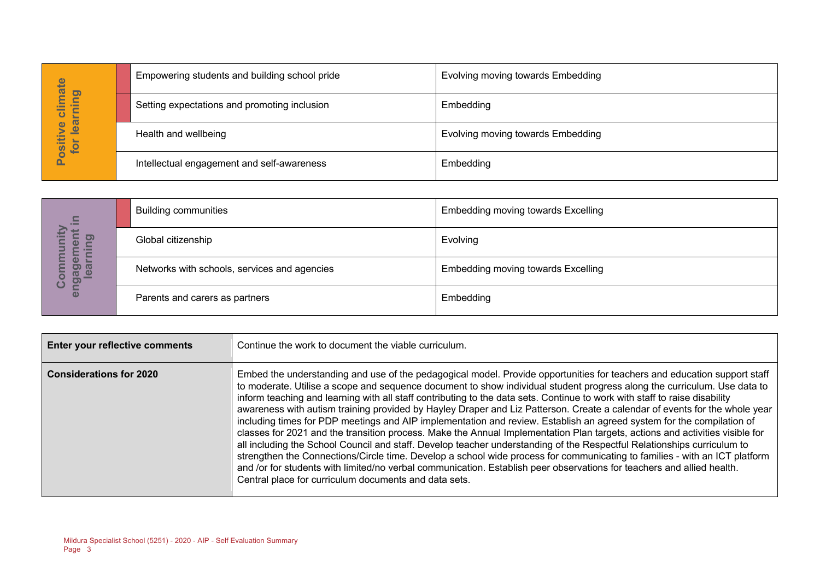| <b>nate</b>                                               | Empowering students and building school pride | Evolving moving towards Embedding |
|-----------------------------------------------------------|-----------------------------------------------|-----------------------------------|
| pui<br>➤<br>E<br>►<br>٥<br>$\overline{\overline{\sigma}}$ | Setting expectations and promoting inclusion  | Embedding                         |
| Φ<br>$\tilde{\mathbf{Q}}$<br>ositiv<br>tor                | Health and wellbeing                          | Evolving moving towards Embedding |
|                                                           | Intellectual engagement and self-awareness    | Embedding                         |

| $\Xi$                               | <b>Building communities</b>                  | <b>Embedding moving towards Excelling</b> |
|-------------------------------------|----------------------------------------------|-------------------------------------------|
| ලා)<br>$\mathbf \omega$<br>$\equiv$ | Global citizenship                           | Evolving                                  |
| <u>ة</u><br><u>യ</u><br>ပ           | Networks with schools, services and agencies | <b>Embedding moving towards Excelling</b> |
| eng                                 | Parents and carers as partners               | Embedding                                 |

|                                        |                                                                         | Empowering students and building school pride                                                                                                                                                                                                                                                                                                                                                                                                                                                                                                                                                                                                                                                                                                                                                                                                                                                                                                                                                                                                                                                                                                                                                                         | Evolving moving towards Embedding         |
|----------------------------------------|-------------------------------------------------------------------------|-----------------------------------------------------------------------------------------------------------------------------------------------------------------------------------------------------------------------------------------------------------------------------------------------------------------------------------------------------------------------------------------------------------------------------------------------------------------------------------------------------------------------------------------------------------------------------------------------------------------------------------------------------------------------------------------------------------------------------------------------------------------------------------------------------------------------------------------------------------------------------------------------------------------------------------------------------------------------------------------------------------------------------------------------------------------------------------------------------------------------------------------------------------------------------------------------------------------------|-------------------------------------------|
| Positive climate<br>for learning       |                                                                         | Setting expectations and promoting inclusion                                                                                                                                                                                                                                                                                                                                                                                                                                                                                                                                                                                                                                                                                                                                                                                                                                                                                                                                                                                                                                                                                                                                                                          | Embedding                                 |
|                                        | Health and wellbeing                                                    |                                                                                                                                                                                                                                                                                                                                                                                                                                                                                                                                                                                                                                                                                                                                                                                                                                                                                                                                                                                                                                                                                                                                                                                                                       | Evolving moving towards Embedding         |
|                                        |                                                                         | Intellectual engagement and self-awareness                                                                                                                                                                                                                                                                                                                                                                                                                                                                                                                                                                                                                                                                                                                                                                                                                                                                                                                                                                                                                                                                                                                                                                            | Embedding                                 |
|                                        |                                                                         |                                                                                                                                                                                                                                                                                                                                                                                                                                                                                                                                                                                                                                                                                                                                                                                                                                                                                                                                                                                                                                                                                                                                                                                                                       |                                           |
|                                        | <b>Building communities</b>                                             |                                                                                                                                                                                                                                                                                                                                                                                                                                                                                                                                                                                                                                                                                                                                                                                                                                                                                                                                                                                                                                                                                                                                                                                                                       | <b>Embedding moving towards Excelling</b> |
|                                        | Global citizenship                                                      |                                                                                                                                                                                                                                                                                                                                                                                                                                                                                                                                                                                                                                                                                                                                                                                                                                                                                                                                                                                                                                                                                                                                                                                                                       | Evolving                                  |
| engagement in<br>Community<br>learning | Networks with schools, services and agencies                            |                                                                                                                                                                                                                                                                                                                                                                                                                                                                                                                                                                                                                                                                                                                                                                                                                                                                                                                                                                                                                                                                                                                                                                                                                       | <b>Embedding moving towards Excelling</b> |
|                                        | Parents and carers as partners                                          |                                                                                                                                                                                                                                                                                                                                                                                                                                                                                                                                                                                                                                                                                                                                                                                                                                                                                                                                                                                                                                                                                                                                                                                                                       | Embedding                                 |
|                                        |                                                                         |                                                                                                                                                                                                                                                                                                                                                                                                                                                                                                                                                                                                                                                                                                                                                                                                                                                                                                                                                                                                                                                                                                                                                                                                                       |                                           |
| Enter your reflective comments         |                                                                         | Continue the work to document the viable curriculum.                                                                                                                                                                                                                                                                                                                                                                                                                                                                                                                                                                                                                                                                                                                                                                                                                                                                                                                                                                                                                                                                                                                                                                  |                                           |
| <b>Considerations for 2020</b>         |                                                                         | Embed the understanding and use of the pedagogical model. Provide opportunities for teachers and education support staff<br>to moderate. Utilise a scope and sequence document to show individual student progress along the curriculum. Use data to<br>inform teaching and learning with all staff contributing to the data sets. Continue to work with staff to raise disability<br>awareness with autism training provided by Hayley Draper and Liz Patterson. Create a calendar of events for the whole year<br>including times for PDP meetings and AIP implementation and review. Establish an agreed system for the compilation of<br>classes for 2021 and the transition process. Make the Annual Implementation Plan targets, actions and activities visible for<br>all including the School Council and staff. Develop teacher understanding of the Respectful Relationships curriculum to<br>strengthen the Connections/Circle time. Develop a school wide process for communicating to families - with an ICT platform<br>and /or for students with limited/no verbal communication. Establish peer observations for teachers and allied health.<br>Central place for curriculum documents and data sets. |                                           |
|                                        |                                                                         |                                                                                                                                                                                                                                                                                                                                                                                                                                                                                                                                                                                                                                                                                                                                                                                                                                                                                                                                                                                                                                                                                                                                                                                                                       |                                           |
|                                        |                                                                         |                                                                                                                                                                                                                                                                                                                                                                                                                                                                                                                                                                                                                                                                                                                                                                                                                                                                                                                                                                                                                                                                                                                                                                                                                       |                                           |
| Page 3                                 | Mildura Specialist School (5251) - 2020 - AIP - Self Evaluation Summary |                                                                                                                                                                                                                                                                                                                                                                                                                                                                                                                                                                                                                                                                                                                                                                                                                                                                                                                                                                                                                                                                                                                                                                                                                       |                                           |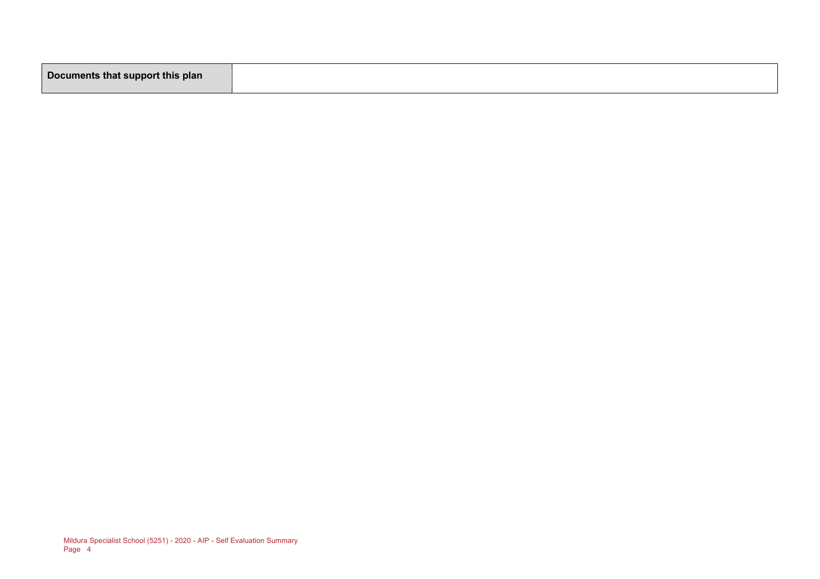|--|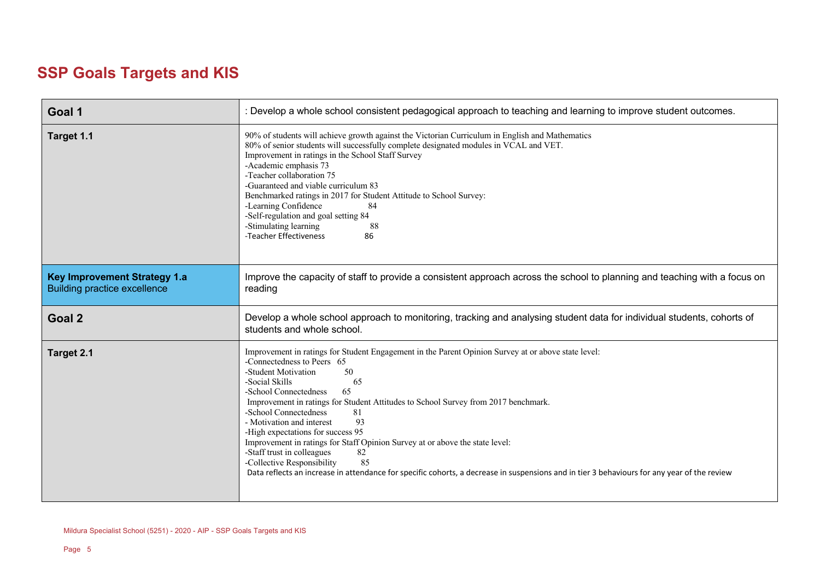### **SSP Goals Targets and KIS**

| Goal 1                                                                     | : Develop a whole school consistent pedagogical approach to teaching and learning to improve student outcomes.                                                                                                                                                                                                                                                                                                                                                                                                                                                                                                                                                                                                            |  |  |
|----------------------------------------------------------------------------|---------------------------------------------------------------------------------------------------------------------------------------------------------------------------------------------------------------------------------------------------------------------------------------------------------------------------------------------------------------------------------------------------------------------------------------------------------------------------------------------------------------------------------------------------------------------------------------------------------------------------------------------------------------------------------------------------------------------------|--|--|
| Target 1.1                                                                 | 90% of students will achieve growth against the Victorian Curriculum in English and Mathematics<br>80% of senior students will successfully complete designated modules in VCAL and VET.<br>Improvement in ratings in the School Staff Survey<br>-Academic emphasis 73<br>-Teacher collaboration 75<br>-Guaranteed and viable curriculum 83<br>Benchmarked ratings in 2017 for Student Attitude to School Survey:<br>-Learning Confidence<br>84<br>-Self-regulation and goal setting 84<br>-Stimulating learning<br>88<br>-Teacher Effectiveness<br>86                                                                                                                                                                    |  |  |
| <b>Key Improvement Strategy 1.a</b><br><b>Building practice excellence</b> | Improve the capacity of staff to provide a consistent approach across the school to planning and teaching with a focus on<br>reading                                                                                                                                                                                                                                                                                                                                                                                                                                                                                                                                                                                      |  |  |
| Goal 2                                                                     | Develop a whole school approach to monitoring, tracking and analysing student data for individual students, cohorts of<br>students and whole school.                                                                                                                                                                                                                                                                                                                                                                                                                                                                                                                                                                      |  |  |
| Target 2.1                                                                 | Improvement in ratings for Student Engagement in the Parent Opinion Survey at or above state level:<br>-Connectedness to Peers 65<br>-Student Motivation<br>50<br>-Social Skills<br>65<br>-School Connectedness<br>65<br>Improvement in ratings for Student Attitudes to School Survey from 2017 benchmark.<br>-School Connectedness<br>81<br>- Motivation and interest<br>93<br>-High expectations for success 95<br>Improvement in ratings for Staff Opinion Survey at or above the state level:<br>-Staff trust in colleagues<br>82<br>-Collective Responsibility<br>85<br>Data reflects an increase in attendance for specific cohorts, a decrease in suspensions and in tier 3 behaviours for any year of the review |  |  |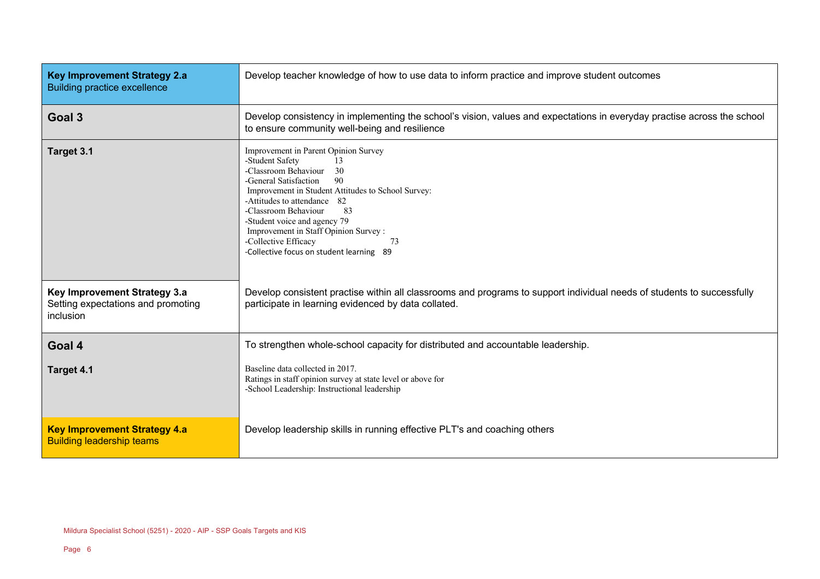| <b>Key Improvement Strategy 2.a</b><br><b>Building practice excellence</b>      | Develop teacher knowledge of how to use data to inform practice and improve student outcomes                                                                                                                                                                                                                                                                                                     |
|---------------------------------------------------------------------------------|--------------------------------------------------------------------------------------------------------------------------------------------------------------------------------------------------------------------------------------------------------------------------------------------------------------------------------------------------------------------------------------------------|
| Goal 3                                                                          | Develop consistency in implementing the school's vision, values and expectations in everyday practise across the school<br>to ensure community well-being and resilience                                                                                                                                                                                                                         |
| Target 3.1                                                                      | Improvement in Parent Opinion Survey<br>-Student Safety<br>13<br>-Classroom Behaviour<br>30<br>-General Satisfaction<br>90<br>Improvement in Student Attitudes to School Survey:<br>-Attitudes to attendance 82<br>-Classroom Behaviour<br>83<br>-Student voice and agency 79<br>Improvement in Staff Opinion Survey :<br>-Collective Efficacy<br>73<br>-Collective focus on student learning 89 |
| Key Improvement Strategy 3.a<br>Setting expectations and promoting<br>inclusion | Develop consistent practise within all classrooms and programs to support individual needs of students to successfully<br>participate in learning evidenced by data collated.                                                                                                                                                                                                                    |
| Goal 4                                                                          | To strengthen whole-school capacity for distributed and accountable leadership.                                                                                                                                                                                                                                                                                                                  |
| Target 4.1                                                                      | Baseline data collected in 2017.<br>Ratings in staff opinion survey at state level or above for<br>-School Leadership: Instructional leadership                                                                                                                                                                                                                                                  |
| <b>Key Improvement Strategy 4.a</b><br><b>Building leadership teams</b>         | Develop leadership skills in running effective PLT's and coaching others                                                                                                                                                                                                                                                                                                                         |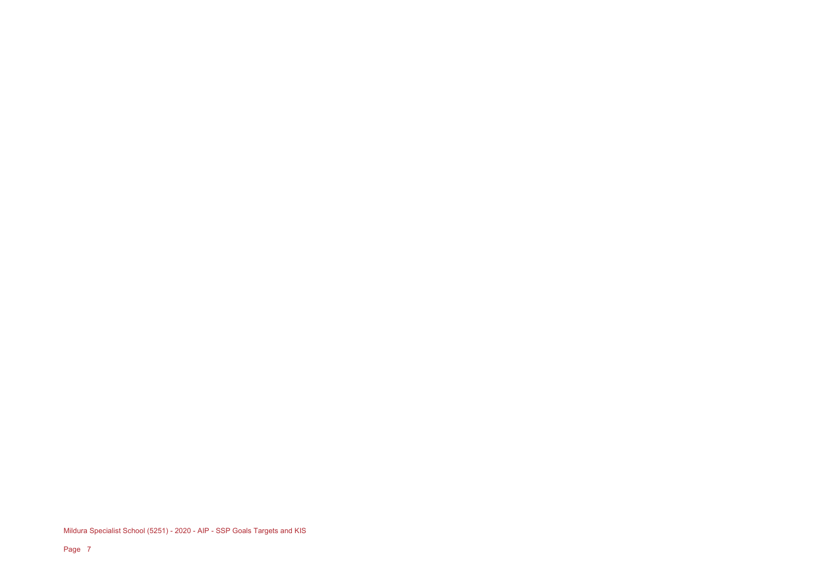Mildura Specialist School (5251) - 2020 - AIP - SSP Goals Targets and KIS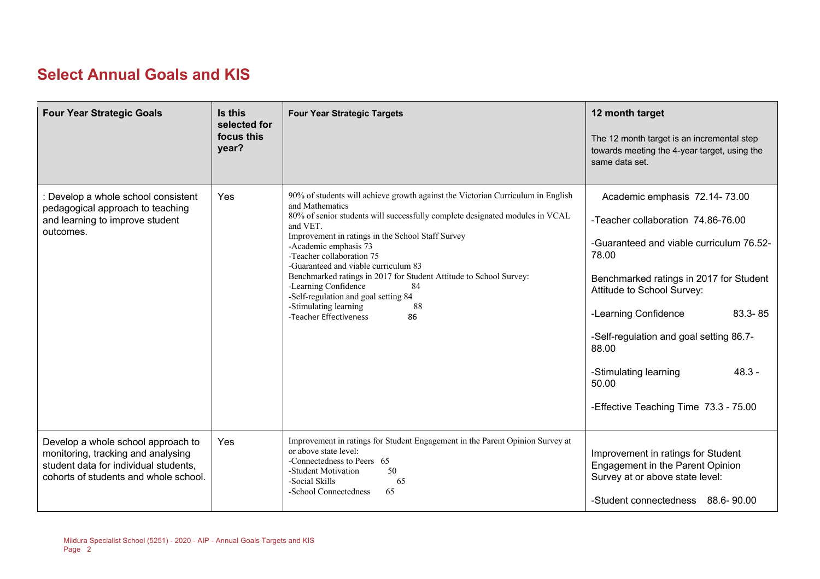#### **Select Annual Goals and KIS**

| <b>Four Year Strategic Goals</b>                                                                                                                           | Is this<br>selected for<br>focus this<br>year? | <b>Four Year Strategic Targets</b>                                                                                                                                                                                                                                                                                                                                                                                                                                                                                                                           | 12 month target<br>The 12 month target is an incremental step<br>towards meeting the 4-year target, using the<br>same data set.                                                                                                                                                                                                                                                 |  |
|------------------------------------------------------------------------------------------------------------------------------------------------------------|------------------------------------------------|--------------------------------------------------------------------------------------------------------------------------------------------------------------------------------------------------------------------------------------------------------------------------------------------------------------------------------------------------------------------------------------------------------------------------------------------------------------------------------------------------------------------------------------------------------------|---------------------------------------------------------------------------------------------------------------------------------------------------------------------------------------------------------------------------------------------------------------------------------------------------------------------------------------------------------------------------------|--|
| : Develop a whole school consistent<br>pedagogical approach to teaching<br>and learning to improve student<br>outcomes.                                    | Yes                                            | 90% of students will achieve growth against the Victorian Curriculum in English<br>and Mathematics<br>80% of senior students will successfully complete designated modules in VCAL<br>and VET.<br>Improvement in ratings in the School Staff Survey<br>-Academic emphasis 73<br>-Teacher collaboration 75<br>-Guaranteed and viable curriculum 83<br>Benchmarked ratings in 2017 for Student Attitude to School Survey:<br>-Learning Confidence<br>84<br>-Self-regulation and goal setting 84<br>-Stimulating learning<br>88<br>-Teacher Effectiveness<br>86 | Academic emphasis 72.14-73.00<br>-Teacher collaboration 74.86-76.00<br>-Guaranteed and viable curriculum 76.52-<br>78.00<br>Benchmarked ratings in 2017 for Student<br>Attitude to School Survey:<br>83.3-85<br>-Learning Confidence<br>-Self-regulation and goal setting 86.7-<br>88.00<br>-Stimulating learning<br>$48.3 -$<br>50.00<br>-Effective Teaching Time 73.3 - 75.00 |  |
| Develop a whole school approach to<br>monitoring, tracking and analysing<br>student data for individual students,<br>cohorts of students and whole school. | <b>Yes</b>                                     | Improvement in ratings for Student Engagement in the Parent Opinion Survey at<br>or above state level:<br>-Connectedness to Peers 65<br>50<br>-Student Motivation<br>-Social Skills<br>65<br>-School Connectedness<br>65                                                                                                                                                                                                                                                                                                                                     | Improvement in ratings for Student<br>Engagement in the Parent Opinion<br>Survey at or above state level:<br>-Student connectedness 88.6-90.00                                                                                                                                                                                                                                  |  |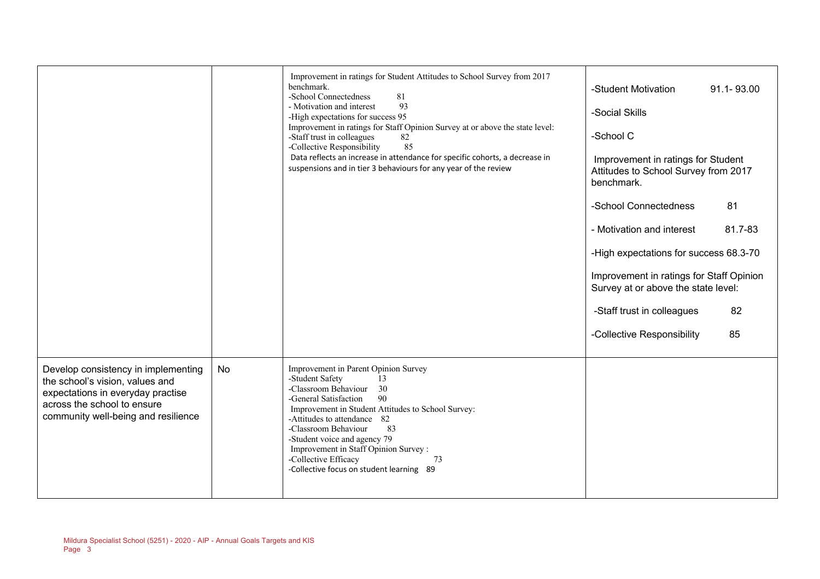|                                                                                                                                                                                   |           | Improvement in ratings for Student Attitudes to School Survey from 2017<br>benchmark.<br>-School Connectedness<br>81<br>93<br>- Motivation and interest<br>-High expectations for success 95<br>Improvement in ratings for Staff Opinion Survey at or above the state level:<br>-Staff trust in colleagues<br>82<br>85<br>-Collective Responsibility<br>Data reflects an increase in attendance for specific cohorts, a decrease in<br>suspensions and in tier 3 behaviours for any year of the review | -Student Motivation<br>91.1-93.00<br>-Social Skills<br>-School C<br>Improvement in ratings for Student<br>Attitudes to School Survey from 2017<br>benchmark.<br>-School Connectedness<br>81<br>- Motivation and interest<br>81.7-83<br>-High expectations for success 68.3-70<br>Improvement in ratings for Staff Opinion<br>Survey at or above the state level:<br>-Staff trust in colleagues<br>82<br>85 |
|-----------------------------------------------------------------------------------------------------------------------------------------------------------------------------------|-----------|--------------------------------------------------------------------------------------------------------------------------------------------------------------------------------------------------------------------------------------------------------------------------------------------------------------------------------------------------------------------------------------------------------------------------------------------------------------------------------------------------------|------------------------------------------------------------------------------------------------------------------------------------------------------------------------------------------------------------------------------------------------------------------------------------------------------------------------------------------------------------------------------------------------------------|
| Develop consistency in implementing<br>the school's vision, values and<br>expectations in everyday practise<br>across the school to ensure<br>community well-being and resilience | <b>No</b> | Improvement in Parent Opinion Survey<br>-Student Safety<br>13<br>30<br>-Classroom Behaviour<br>90<br>-General Satisfaction<br>Improvement in Student Attitudes to School Survey:<br>-Attitudes to attendance 82<br>-Classroom Behaviour<br>83<br>-Student voice and agency 79<br>Improvement in Staff Opinion Survey :<br>-Collective Efficacy<br>73<br>-Collective focus on student learning 89                                                                                                       | -Collective Responsibility                                                                                                                                                                                                                                                                                                                                                                                 |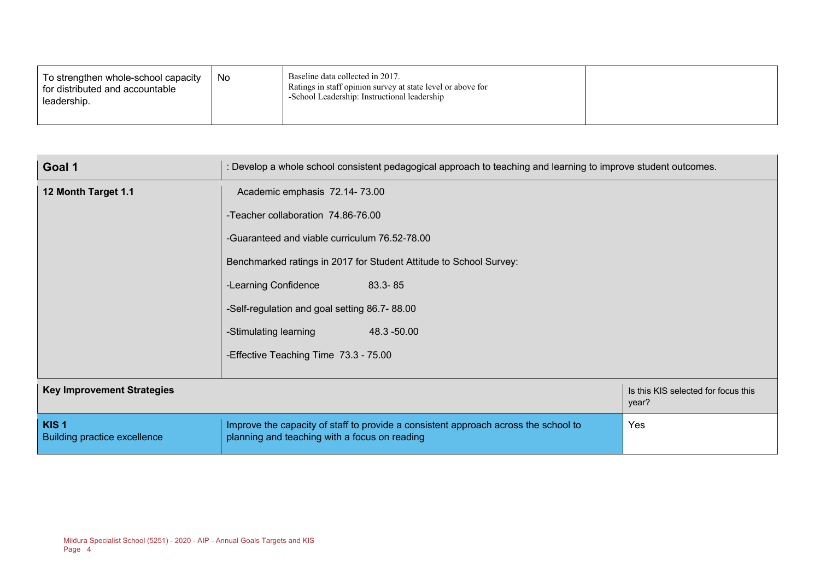| To strengthen whole-school capacity<br>for distributed and accountable<br>leadership. | No. | Baseline data collected in 2017.<br>Ratings in staff opinion survey at state level or above for<br>-School Leadership: Instructional leadership |  |
|---------------------------------------------------------------------------------------|-----|-------------------------------------------------------------------------------------------------------------------------------------------------|--|
|---------------------------------------------------------------------------------------|-----|-------------------------------------------------------------------------------------------------------------------------------------------------|--|

| Goal 1                                                  | : Develop a whole school consistent pedagogical approach to teaching and learning to improve student outcomes.                       |                                              |  |  |
|---------------------------------------------------------|--------------------------------------------------------------------------------------------------------------------------------------|----------------------------------------------|--|--|
| 12 Month Target 1.1                                     | Academic emphasis 72.14-73.00                                                                                                        |                                              |  |  |
|                                                         | -Teacher collaboration 74.86-76.00                                                                                                   |                                              |  |  |
|                                                         | -Guaranteed and viable curriculum 76.52-78.00                                                                                        |                                              |  |  |
|                                                         | Benchmarked ratings in 2017 for Student Attitude to School Survey:                                                                   |                                              |  |  |
|                                                         | 83.3-85<br>-Learning Confidence                                                                                                      |                                              |  |  |
|                                                         | -Self-regulation and goal setting 86.7-88.00                                                                                         |                                              |  |  |
|                                                         | -Stimulating learning<br>48.3 -50.00                                                                                                 |                                              |  |  |
|                                                         | -Effective Teaching Time 73.3 - 75.00                                                                                                |                                              |  |  |
| <b>Key Improvement Strategies</b>                       |                                                                                                                                      | Is this KIS selected for focus this<br>year? |  |  |
| KIS <sub>1</sub><br><b>Building practice excellence</b> | Improve the capacity of staff to provide a consistent approach across the school to<br>planning and teaching with a focus on reading | Yes                                          |  |  |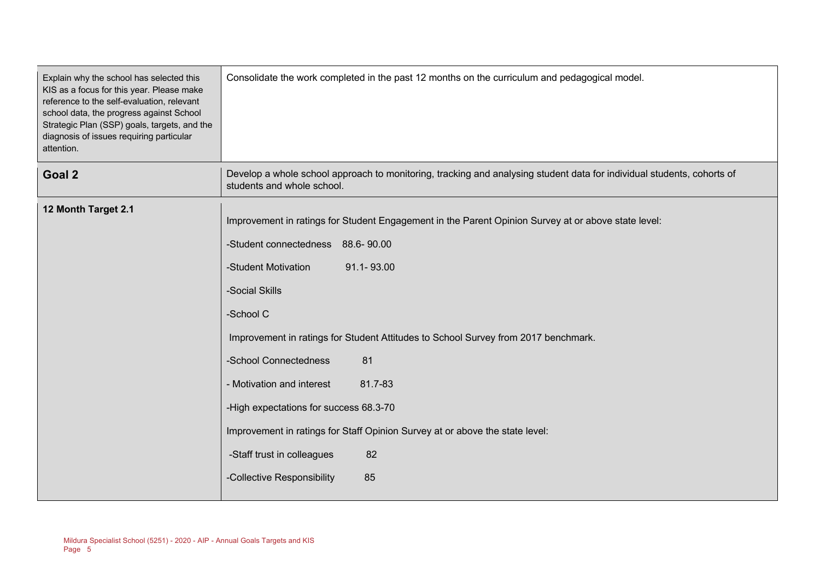| Explain why the school has selected this<br>KIS as a focus for this year. Please make<br>reference to the self-evaluation, relevant<br>school data, the progress against School<br>Strategic Plan (SSP) goals, targets, and the<br>diagnosis of issues requiring particular<br>attention. | Consolidate the work completed in the past 12 months on the curriculum and pedagogical model.                                                                                                                                                                                                                                                                                                                                                                                                                                                                               |
|-------------------------------------------------------------------------------------------------------------------------------------------------------------------------------------------------------------------------------------------------------------------------------------------|-----------------------------------------------------------------------------------------------------------------------------------------------------------------------------------------------------------------------------------------------------------------------------------------------------------------------------------------------------------------------------------------------------------------------------------------------------------------------------------------------------------------------------------------------------------------------------|
| Goal 2                                                                                                                                                                                                                                                                                    | Develop a whole school approach to monitoring, tracking and analysing student data for individual students, cohorts of<br>students and whole school.                                                                                                                                                                                                                                                                                                                                                                                                                        |
| 12 Month Target 2.1                                                                                                                                                                                                                                                                       | Improvement in ratings for Student Engagement in the Parent Opinion Survey at or above state level:<br>-Student connectedness 88.6-90.00<br>-Student Motivation<br>91.1-93.00<br>-Social Skills<br>-School C<br>Improvement in ratings for Student Attitudes to School Survey from 2017 benchmark.<br>-School Connectedness<br>81<br>- Motivation and interest<br>81.7-83<br>-High expectations for success 68.3-70<br>Improvement in ratings for Staff Opinion Survey at or above the state level:<br>-Staff trust in colleagues<br>82<br>-Collective Responsibility<br>85 |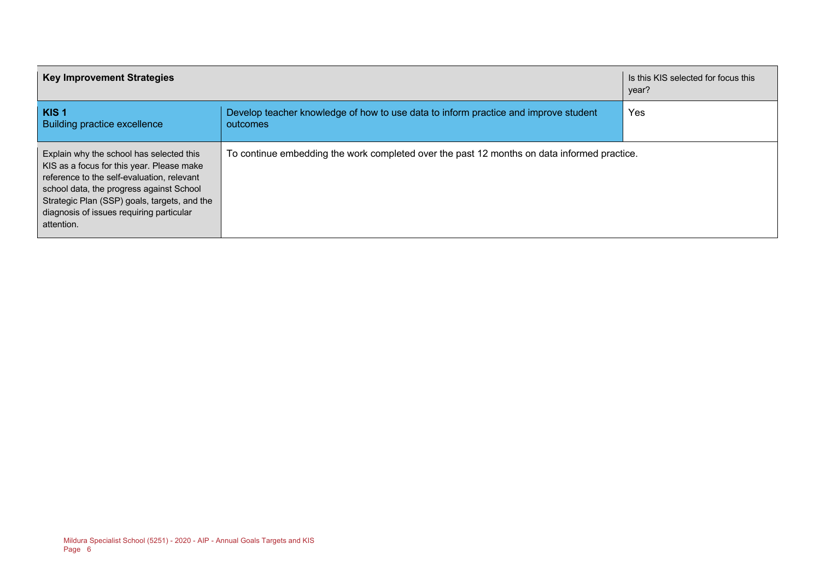| <b>Key Improvement Strategies</b>                                                                                                                                                                                                                                                         |                                                                                                 | Is this KIS selected for focus this<br>year? |
|-------------------------------------------------------------------------------------------------------------------------------------------------------------------------------------------------------------------------------------------------------------------------------------------|-------------------------------------------------------------------------------------------------|----------------------------------------------|
| KIS <sub>1</sub><br>Building practice excellence                                                                                                                                                                                                                                          | Develop teacher knowledge of how to use data to inform practice and improve student<br>outcomes | Yes                                          |
| Explain why the school has selected this<br>KIS as a focus for this year. Please make<br>reference to the self-evaluation, relevant<br>school data, the progress against School<br>Strategic Plan (SSP) goals, targets, and the<br>diagnosis of issues requiring particular<br>attention. | To continue embedding the work completed over the past 12 months on data informed practice.     |                                              |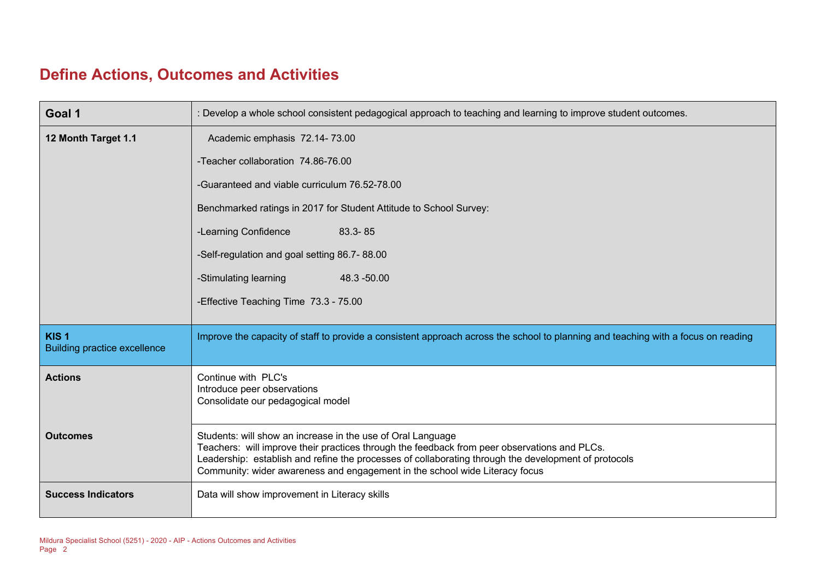### **Define Actions, Outcomes and Activities**

| Goal 1                                                  | : Develop a whole school consistent pedagogical approach to teaching and learning to improve student outcomes.                                                                                                                                                                                                                                     |
|---------------------------------------------------------|----------------------------------------------------------------------------------------------------------------------------------------------------------------------------------------------------------------------------------------------------------------------------------------------------------------------------------------------------|
| 12 Month Target 1.1                                     | Academic emphasis 72.14-73.00                                                                                                                                                                                                                                                                                                                      |
|                                                         | -Teacher collaboration 74.86-76.00                                                                                                                                                                                                                                                                                                                 |
|                                                         | -Guaranteed and viable curriculum 76.52-78.00                                                                                                                                                                                                                                                                                                      |
|                                                         | Benchmarked ratings in 2017 for Student Attitude to School Survey:                                                                                                                                                                                                                                                                                 |
|                                                         | -Learning Confidence<br>83.3-85                                                                                                                                                                                                                                                                                                                    |
|                                                         | -Self-regulation and goal setting 86.7-88.00                                                                                                                                                                                                                                                                                                       |
|                                                         | -Stimulating learning<br>48.3 -50.00                                                                                                                                                                                                                                                                                                               |
|                                                         | -Effective Teaching Time 73.3 - 75.00                                                                                                                                                                                                                                                                                                              |
| KIS <sub>1</sub><br><b>Building practice excellence</b> | Improve the capacity of staff to provide a consistent approach across the school to planning and teaching with a focus on reading                                                                                                                                                                                                                  |
| <b>Actions</b>                                          | Continue with PLC's<br>Introduce peer observations<br>Consolidate our pedagogical model                                                                                                                                                                                                                                                            |
| <b>Outcomes</b>                                         | Students: will show an increase in the use of Oral Language<br>Teachers: will improve their practices through the feedback from peer observations and PLCs.<br>Leadership: establish and refine the processes of collaborating through the development of protocols<br>Community: wider awareness and engagement in the school wide Literacy focus |
| <b>Success Indicators</b>                               | Data will show improvement in Literacy skills                                                                                                                                                                                                                                                                                                      |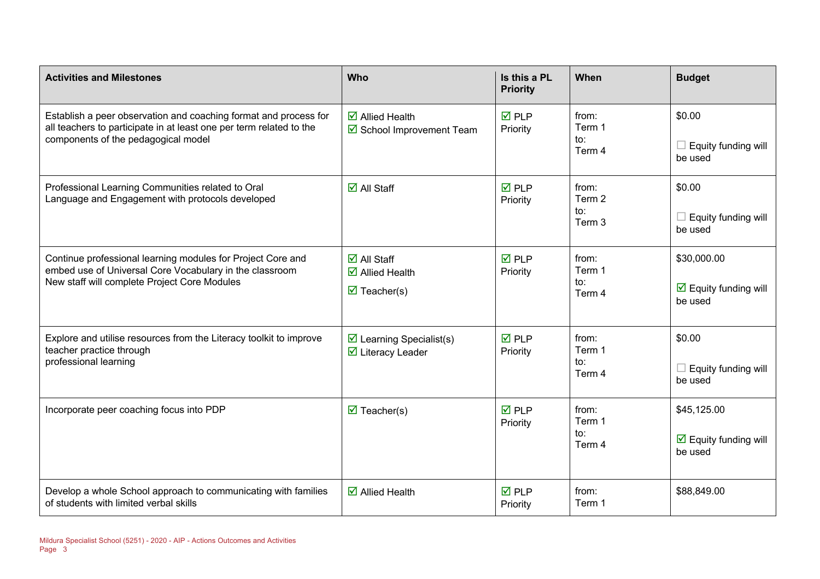| <b>Activities and Milestones</b>                                                                                                                                               | Who                                                                                                     | Is this a PL<br><b>Priority</b> | When                             | <b>Budget</b>                                                         |
|--------------------------------------------------------------------------------------------------------------------------------------------------------------------------------|---------------------------------------------------------------------------------------------------------|---------------------------------|----------------------------------|-----------------------------------------------------------------------|
| Establish a peer observation and coaching format and process for<br>all teachers to participate in at least one per term related to the<br>components of the pedagogical model | $\overline{\mathbf{Z}}$ Allied Health<br>School Improvement Team                                        | $\overline{M}$ PLP<br>Priority  | from:<br>Term 1<br>to:<br>Term 4 | \$0.00<br>Equity funding will<br>be used                              |
| Professional Learning Communities related to Oral<br>Language and Engagement with protocols developed                                                                          | $\overline{\Box}$ All Staff                                                                             | <b>ØPLP</b><br>Priority         | from:<br>Term 2<br>to:<br>Term 3 | \$0.00<br>Equity funding will<br>be used                              |
| Continue professional learning modules for Project Core and<br>embed use of Universal Core Vocabulary in the classroom<br>New staff will complete Project Core Modules         | $\overline{\triangle}$ All Staff<br>$\overline{\mathbf{Z}}$ Allied Health<br>$\triangledown$ Teacher(s) | <b>☑</b> PLP<br>Priority        | from:<br>Term 1<br>to:<br>Term 4 | \$30,000.00<br>$\triangleright$ Equity funding will<br>be used        |
| Explore and utilise resources from the Literacy toolkit to improve<br>teacher practice through<br>professional learning                                                        | $\triangleright$ Learning Specialist(s)<br>$\overline{\mathbf{y}}$ Literacy Leader                      | <b>☑</b> PLP<br>Priority        | from:<br>Term 1<br>to:<br>Term 4 | \$0.00<br>Equity funding will<br>be used                              |
| Incorporate peer coaching focus into PDP                                                                                                                                       | $\overline{\mathbf{M}}$ Teacher(s)                                                                      | <b>☑</b> PLP<br>Priority        | from:<br>Term 1<br>to:<br>Term 4 | \$45,125.00<br>$\overline{\mathbf{M}}$ Equity funding will<br>be used |
| Develop a whole School approach to communicating with families<br>of students with limited verbal skills                                                                       | $\overline{\mathbf{Z}}$ Allied Health                                                                   | $\overline{M}$ PLP<br>Priority  | from:<br>Term 1                  | \$88,849.00                                                           |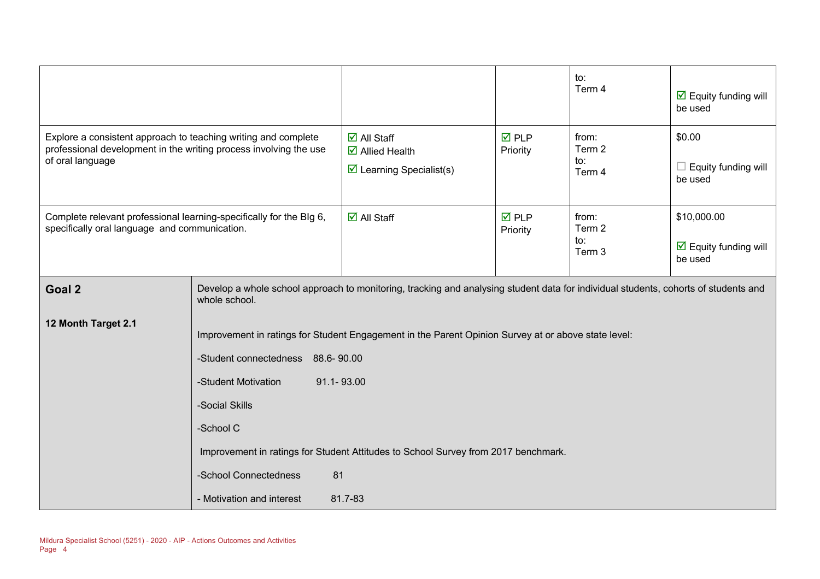|                                                                                                                                                         |                                                                                                                                                                   |                                                                                                                                                                                                      |                                | to:<br>Term 4                    | $\overline{\mathbf{M}}$ Equity funding will<br>be used         |
|---------------------------------------------------------------------------------------------------------------------------------------------------------|-------------------------------------------------------------------------------------------------------------------------------------------------------------------|------------------------------------------------------------------------------------------------------------------------------------------------------------------------------------------------------|--------------------------------|----------------------------------|----------------------------------------------------------------|
| Explore a consistent approach to teaching writing and complete<br>professional development in the writing process involving the use<br>of oral language |                                                                                                                                                                   | $\overline{\mathsf{d}}$ All Staff<br>$\overline{\mathbf{a}}$ Allied Health<br>$\triangleright$ Learning Specialist(s)                                                                                | $\overline{M}$ PLP<br>Priority | from:<br>Term 2<br>to:<br>Term 4 | \$0.00<br>Equity funding will<br>be used                       |
| Complete relevant professional learning-specifically for the BIg 6,<br>specifically oral language and communication.                                    |                                                                                                                                                                   | $\overline{\triangle}$ All Staff                                                                                                                                                                     | $\overline{M}$ PLP<br>Priority | from:<br>Term 2<br>to:<br>Term 3 | \$10,000.00<br>$\triangleright$ Equity funding will<br>be used |
| Goal 2                                                                                                                                                  | whole school.                                                                                                                                                     | Develop a whole school approach to monitoring, tracking and analysing student data for individual students, cohorts of students and                                                                  |                                |                                  |                                                                |
| 12 Month Target 2.1                                                                                                                                     | -Student connectedness 88.6-90.00<br>-Student Motivation<br>91.1-93.00<br>-Social Skills<br>-School C<br>-School Connectedness<br>81<br>- Motivation and interest | Improvement in ratings for Student Engagement in the Parent Opinion Survey at or above state level:<br>Improvement in ratings for Student Attitudes to School Survey from 2017 benchmark.<br>81.7-83 |                                |                                  |                                                                |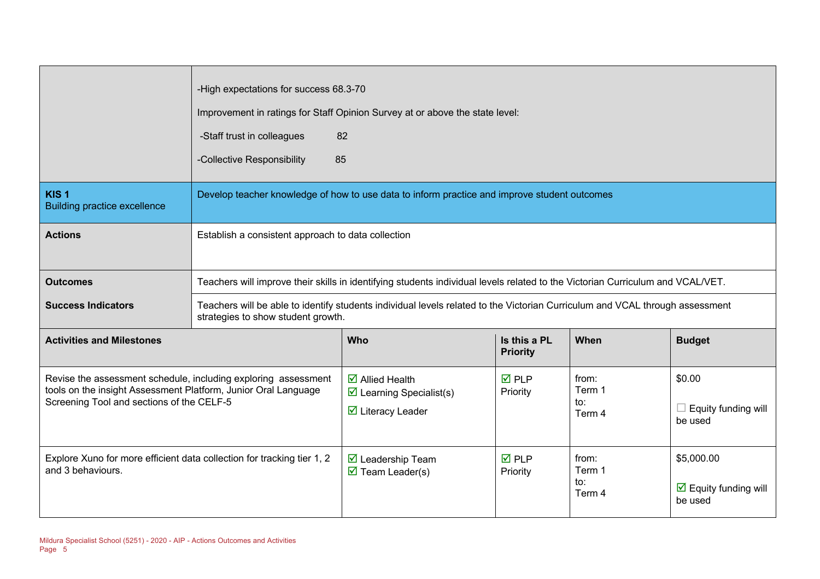|                                                                                                                                                                               | -High expectations for success 68.3-70<br>-Staff trust in colleagues<br>-Collective Responsibility<br>85 | Improvement in ratings for Staff Opinion Survey at or above the state level:<br>82                                             |                                 |                                  |                                                                      |
|-------------------------------------------------------------------------------------------------------------------------------------------------------------------------------|----------------------------------------------------------------------------------------------------------|--------------------------------------------------------------------------------------------------------------------------------|---------------------------------|----------------------------------|----------------------------------------------------------------------|
| KIS <sub>1</sub><br><b>Building practice excellence</b>                                                                                                                       |                                                                                                          | Develop teacher knowledge of how to use data to inform practice and improve student outcomes                                   |                                 |                                  |                                                                      |
| <b>Actions</b>                                                                                                                                                                | Establish a consistent approach to data collection                                                       |                                                                                                                                |                                 |                                  |                                                                      |
| <b>Outcomes</b>                                                                                                                                                               |                                                                                                          | Teachers will improve their skills in identifying students individual levels related to the Victorian Curriculum and VCAL/VET. |                                 |                                  |                                                                      |
| <b>Success Indicators</b>                                                                                                                                                     | strategies to show student growth.                                                                       | Teachers will be able to identify students individual levels related to the Victorian Curriculum and VCAL through assessment   |                                 |                                  |                                                                      |
| <b>Activities and Milestones</b>                                                                                                                                              |                                                                                                          | <b>Who</b>                                                                                                                     | Is this a PL<br><b>Priority</b> | When                             | <b>Budget</b>                                                        |
| Revise the assessment schedule, including exploring assessment<br>tools on the insight Assessment Platform, Junior Oral Language<br>Screening Tool and sections of the CELF-5 |                                                                                                          | $\overline{\mathbf{a}}$ Allied Health<br>$\triangleright$ Learning Specialist(s)<br>$\overline{\mathbf{M}}$ Literacy Leader    | $\overline{M}$ PLP<br>Priority  | from:<br>Term 1<br>to:<br>Term 4 | \$0.00<br>$\Box$ Equity funding will<br>be used                      |
| Explore Xuno for more efficient data collection for tracking tier 1, 2<br>and 3 behaviours.                                                                                   |                                                                                                          | $\boxtimes$ Leadership Team<br>$\overline{\mathbf{M}}$ Team Leader(s)                                                          | $\overline{M}$ PLP<br>Priority  | from:<br>Term 1<br>to:<br>Term 4 | \$5,000.00<br>$\overline{\mathbf{M}}$ Equity funding will<br>be used |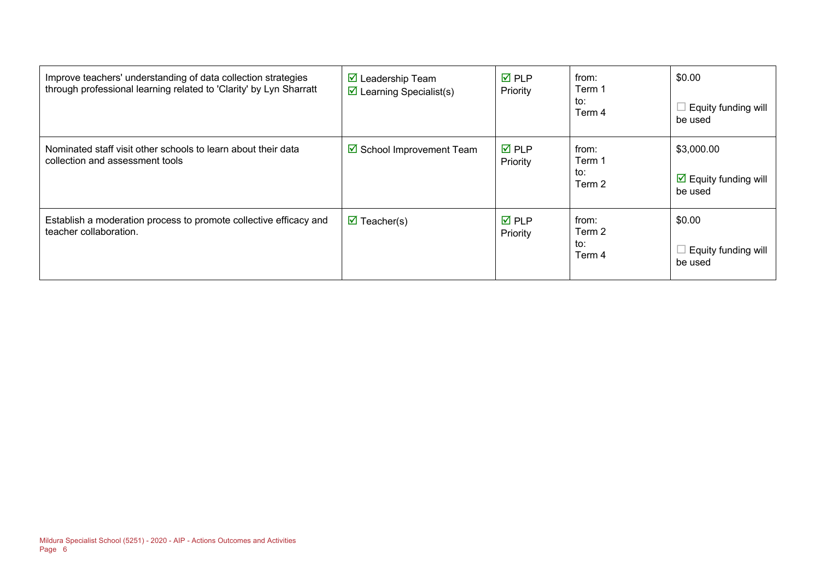| Improve teachers' understanding of data collection strategies<br>through professional learning related to 'Clarity' by Lyn Sharratt | $\boxdot$ Leadership Team<br>$\triangleright$ Learning Specialist(s) | $\overline{M}$ PLP<br>Priority | from:<br>Term 1<br>to:<br>Term 4 | \$0.00<br>Equity funding will<br>be used               |
|-------------------------------------------------------------------------------------------------------------------------------------|----------------------------------------------------------------------|--------------------------------|----------------------------------|--------------------------------------------------------|
| Nominated staff visit other schools to learn about their data<br>collection and assessment tools                                    | $\boxtimes$ School Improvement Team                                  | $\overline{M}$ PLP<br>Priority | from:<br>Term 1<br>to:<br>Term 2 | \$3,000.00<br>$\boxdot$ Equity funding will<br>be used |
| Establish a moderation process to promote collective efficacy and<br>teacher collaboration.                                         | $\overline{\mathbf{y}}$ Teacher(s)                                   | $\overline{M}$ PLP<br>Priority | from:<br>Term 2<br>to:<br>Term 4 | \$0.00<br>Equity funding will<br>be used               |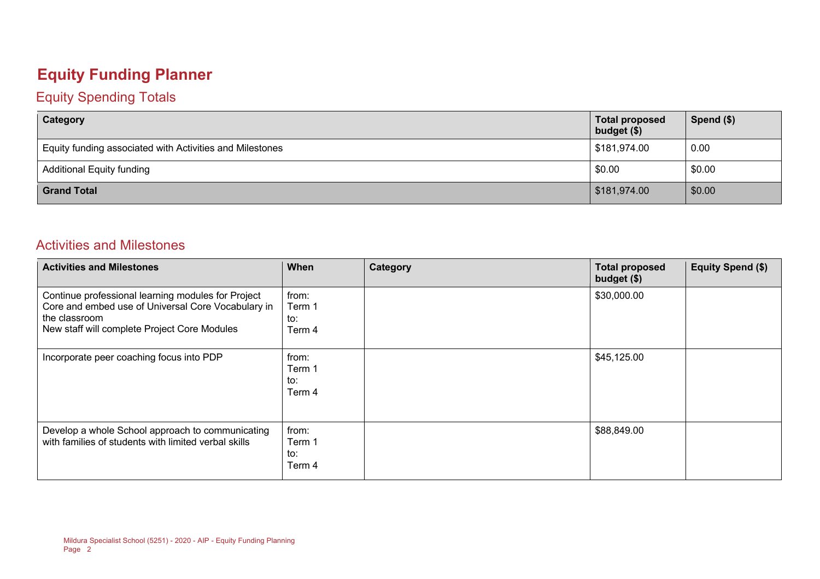#### **Equity Funding Planner**

#### Equity Spending Totals

| Category                                                 | <b>Total proposed</b><br>budget $($)$ | Spend (\$) |
|----------------------------------------------------------|---------------------------------------|------------|
| Equity funding associated with Activities and Milestones | \$181,974.00                          | 0.00       |
| <b>Additional Equity funding</b>                         | \$0.00                                | \$0.00     |
| <b>Grand Total</b>                                       | \$181,974.00                          | \$0.00     |

#### Activities and Milestones

| <b>Activities and Milestones</b>                                                                                                                                          | When                             | Category | <b>Total proposed</b><br>budget $($)$ | <b>Equity Spend (\$)</b> |
|---------------------------------------------------------------------------------------------------------------------------------------------------------------------------|----------------------------------|----------|---------------------------------------|--------------------------|
| Continue professional learning modules for Project<br>Core and embed use of Universal Core Vocabulary in<br>the classroom<br>New staff will complete Project Core Modules | from:<br>Term 1<br>to:<br>Term 4 |          | \$30,000.00                           |                          |
| Incorporate peer coaching focus into PDP                                                                                                                                  | from:<br>Term 1<br>to:<br>Term 4 |          | \$45,125.00                           |                          |
| Develop a whole School approach to communicating<br>with families of students with limited verbal skills                                                                  | from:<br>Term 1<br>to:<br>Term 4 |          | \$88,849.00                           |                          |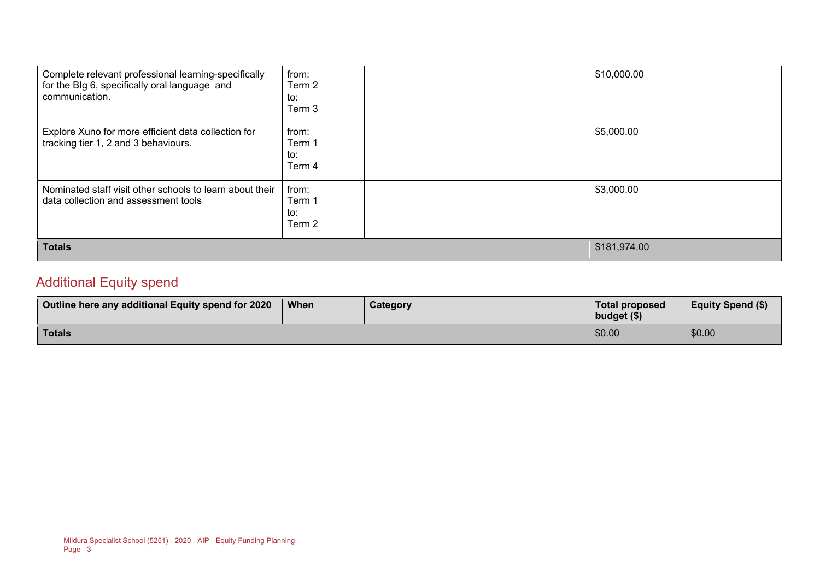| Complete relevant professional learning-specifically<br>for the Blg 6, specifically oral language and<br>communication. | from:<br>Term 2<br>to:<br>Term 3 | \$10,000.00  |  |
|-------------------------------------------------------------------------------------------------------------------------|----------------------------------|--------------|--|
| Explore Xuno for more efficient data collection for<br>tracking tier 1, 2 and 3 behaviours.                             | from:<br>Term 1<br>to:<br>Term 4 | \$5,000.00   |  |
| Nominated staff visit other schools to learn about their<br>data collection and assessment tools                        | from:<br>Term 1<br>to:<br>Term 2 | \$3,000.00   |  |
| <b>Totals</b>                                                                                                           |                                  | \$181,974.00 |  |

#### Additional Equity spend

| Outline here any additional Equity spend for 2020 | When | <b>Category</b> | <b>Total proposed</b><br>budget $(\$)$ | <b>Equity Spend (\$)</b> |
|---------------------------------------------------|------|-----------------|----------------------------------------|--------------------------|
| <b>Totals</b>                                     |      |                 | \$0.00                                 | \$0.00                   |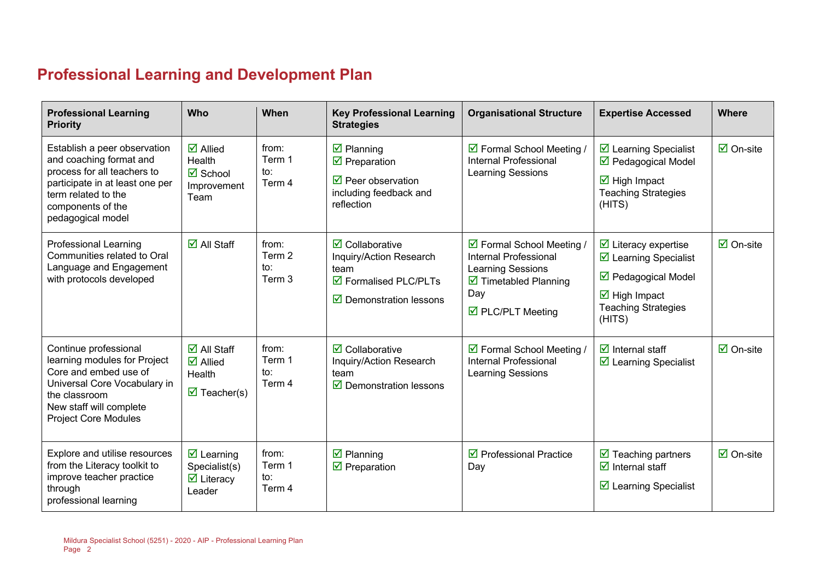### **Professional Learning and Development Plan**

| <b>Professional Learning</b><br><b>Priority</b>                                                                                                                                            | Who                                                                                                           | When                             | <b>Key Professional Learning</b><br><b>Strategies</b>                                                                                                            | <b>Organisational Structure</b>                                                                                                                                  | <b>Expertise Accessed</b>                                                                                                                                                                              | <b>Where</b>              |
|--------------------------------------------------------------------------------------------------------------------------------------------------------------------------------------------|---------------------------------------------------------------------------------------------------------------|----------------------------------|------------------------------------------------------------------------------------------------------------------------------------------------------------------|------------------------------------------------------------------------------------------------------------------------------------------------------------------|--------------------------------------------------------------------------------------------------------------------------------------------------------------------------------------------------------|---------------------------|
| Establish a peer observation<br>and coaching format and<br>process for all teachers to<br>participate in at least one per<br>term related to the<br>components of the<br>pedagogical model | $\boxtimes$ Allied<br>Health<br>$\overline{\mathbf{z}}$ School<br>Improvement<br>Team                         | from:<br>Term 1<br>to:<br>Term 4 | $\boxtimes$ Planning<br>$\overline{\mathbf{y}}$ Preparation<br>$\triangledown$ Peer observation<br>including feedback and<br>reflection                          | ☑ Formal School Meeting<br>Internal Professional<br><b>Learning Sessions</b>                                                                                     | ☑ Learning Specialist<br>$\triangledown$ Pedagogical Model<br>$\overline{\boxtimes}$ High Impact<br><b>Teaching Strategies</b><br>(HITS)                                                               | $\overline{\Box}$ On-site |
| <b>Professional Learning</b><br>Communities related to Oral<br>Language and Engagement<br>with protocols developed                                                                         | $\overline{\blacksquare}$ All Staff                                                                           | from:<br>Term 2<br>to:<br>Term 3 | $\overline{\mathbf{z}}$ Collaborative<br>Inquiry/Action Research<br>team<br>$\overline{\mathbf{9}}$ Formalised PLC/PLTs<br>$\triangledown$ Demonstration lessons | ☑ Formal School Meeting /<br><b>Internal Professional</b><br><b>Learning Sessions</b><br>$\overline{\mathbf{2}}$ Timetabled Planning<br>Day<br>☑ PLC/PLT Meeting | $\overline{\mathbf{y}}$ Literacy expertise<br>$\triangleright$ Learning Specialist<br>$\triangledown$ Pedagogical Model<br>$\overline{\mathbf{y}}$ High Impact<br><b>Teaching Strategies</b><br>(HITS) | $\overline{\Box}$ On-site |
| Continue professional<br>learning modules for Project<br>Core and embed use of<br>Universal Core Vocabulary in<br>the classroom<br>New staff will complete<br><b>Project Core Modules</b>  | $\overline{\Box}$ All Staff<br>$\overline{\mathbf{z}}$ Allied<br>Health<br>$\overline{\mathbf{M}}$ Teacher(s) | from:<br>Term 1<br>to:<br>Term 4 | $\overline{\mathbf{z}}$ Collaborative<br>Inquiry/Action Research<br>team<br>$\boxdot$ Demonstration lessons                                                      | ☑ Formal School Meeting /<br><b>Internal Professional</b><br><b>Learning Sessions</b>                                                                            | $\overline{\mathbf{z}}$ Internal staff<br>$\triangleright$ Learning Specialist                                                                                                                         | $\boxdot$ On-site         |
| Explore and utilise resources<br>from the Literacy toolkit to<br>improve teacher practice<br>through<br>professional learning                                                              | $\overline{\mathbf{M}}$ Learning<br>Specialist(s)<br>$\overline{\mathbf{y}}$ Literacy<br>Leader               | from:<br>Term 1<br>to:<br>Term 4 | $\boxtimes$ Planning<br>$\triangledown$ Preparation                                                                                                              | $\triangledown$ Professional Practice<br>Day                                                                                                                     | $\triangleright$ Teaching partners<br>$\overline{\mathbf{y}}$ Internal staff<br>☑ Learning Specialist                                                                                                  | $\boxdot$ On-site         |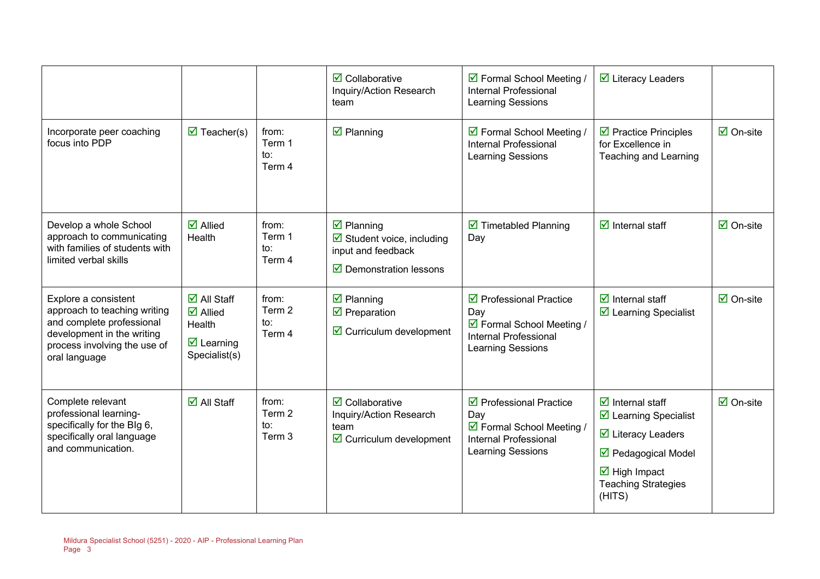|                                                                                                                                                                  |                                                                                                                                      |                                  | $\overline{\mathbf{M}}$ Collaborative<br>Inquiry/Action Research<br>team                                                            | ☑ Formal School Meeting /<br><b>Internal Professional</b><br>Learning Sessions                                                         | $\overline{\mathbf{y}}$ Literacy Leaders                                                                                                                                                                                                       |                           |
|------------------------------------------------------------------------------------------------------------------------------------------------------------------|--------------------------------------------------------------------------------------------------------------------------------------|----------------------------------|-------------------------------------------------------------------------------------------------------------------------------------|----------------------------------------------------------------------------------------------------------------------------------------|------------------------------------------------------------------------------------------------------------------------------------------------------------------------------------------------------------------------------------------------|---------------------------|
| Incorporate peer coaching<br>focus into PDP                                                                                                                      | $\triangledown$ Teacher(s)                                                                                                           | from:<br>Term 1<br>to:<br>Term 4 | $\boxtimes$ Planning                                                                                                                | ☑ Formal School Meeting /<br>Internal Professional<br><b>Learning Sessions</b>                                                         | $\triangleright$ Practice Principles<br>for Excellence in<br><b>Teaching and Learning</b>                                                                                                                                                      | $\boxtimes$ On-site       |
| Develop a whole School<br>approach to communicating<br>with families of students with<br>limited verbal skills                                                   | $\overline{\mathbf{M}}$ Allied<br>Health                                                                                             | from:<br>Term 1<br>to:<br>Term 4 | $\boxtimes$ Planning<br>$\boxtimes$ Student voice, including<br>input and feedback<br>$\overline{\mathbf{y}}$ Demonstration lessons | $\overline{\mathbf{2}}$ Timetabled Planning<br>Day                                                                                     | $\overline{\mathbf{z}}$ Internal staff                                                                                                                                                                                                         | $\boxdot$ On-site         |
| Explore a consistent<br>approach to teaching writing<br>and complete professional<br>development in the writing<br>process involving the use of<br>oral language | $\overline{\blacksquare}$ All Staff<br>$\overline{\mathbf{M}}$ Allied<br>Health<br>$\overline{\mathbf{y}}$ Learning<br>Specialist(s) | from:<br>Term 2<br>to:<br>Term 4 | $\boxtimes$ Planning<br>$\overline{\mathbf{y}}$ Preparation<br>$\boxdot$ Curriculum development                                     | $\overline{\mathbf{2}}$ Professional Practice<br>Day<br>☑ Formal School Meeting /<br><b>Internal Professional</b><br>Learning Sessions | $\overline{\mathbf{z}}$ Internal staff<br>$\triangleright$ Learning Specialist                                                                                                                                                                 | $\overline{\Box}$ On-site |
| Complete relevant<br>professional learning-<br>specifically for the Blg 6,<br>specifically oral language<br>and communication.                                   | $\overline{\triangle}$ All Staff                                                                                                     | from:<br>Term 2<br>to:<br>Term 3 | $\overline{\mathbf{2}}$ Collaborative<br>Inquiry/Action Research<br>team<br>$\boxtimes$ Curriculum development                      | $\overline{\mathbf{2}}$ Professional Practice<br>Day<br>☑ Formal School Meeting /<br><b>Internal Professional</b><br>Learning Sessions | $\overline{\mathbf{z}}$ Internal staff<br>$\triangleright$ Learning Specialist<br>$\overline{\mathbf{z}}$ Literacy Leaders<br>$\triangledown$ Pedagogical Model<br>$\overline{\mathbf{M}}$ High Impact<br><b>Teaching Strategies</b><br>(HITS) | $\overline{\Box}$ On-site |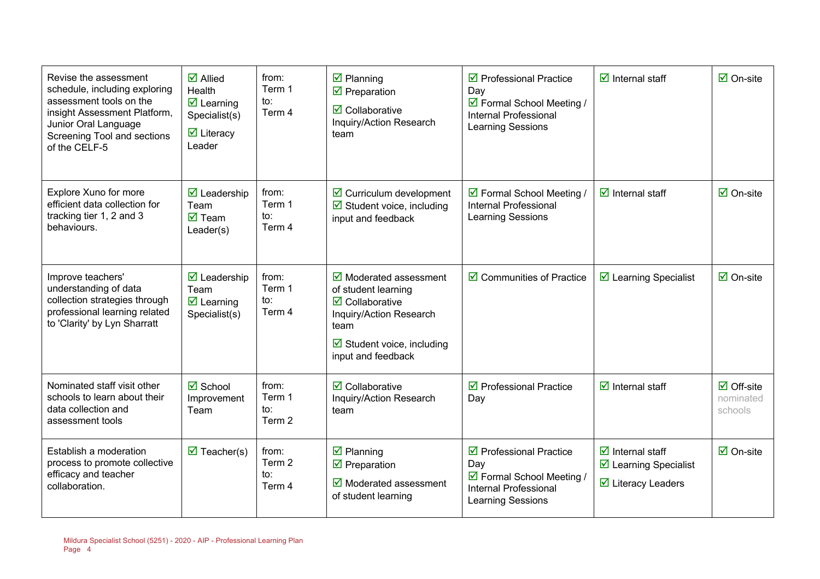| Revise the assessment<br>schedule, including exploring<br>assessment tools on the<br>insight Assessment Platform,<br>Junior Oral Language<br>Screening Tool and sections<br>of the CELF-5 | $\overline{\blacksquare}$ Allied<br>Health<br>$\overline{\mathbf{z}}$ Learning<br>Specialist(s)<br>$\overline{\mathbf{M}}$ Literacy<br>Leader | from:<br>Term 1<br>to:<br>Term 4 | $\overline{\mathbf{z}}$ Planning<br>$\overline{\mathbf{y}}$ Preparation<br>$\overline{\mathbf{M}}$ Collaborative<br>Inquiry/Action Research<br>team                                               | $\boxed{\triangle}$ Professional Practice<br>Day<br>☑ Formal School Meeting /<br>Internal Professional<br><b>Learning Sessions</b> | $\overline{\mathbf{z}}$ Internal staff                                                                     | $\boxdot$ On-site                                  |
|-------------------------------------------------------------------------------------------------------------------------------------------------------------------------------------------|-----------------------------------------------------------------------------------------------------------------------------------------------|----------------------------------|---------------------------------------------------------------------------------------------------------------------------------------------------------------------------------------------------|------------------------------------------------------------------------------------------------------------------------------------|------------------------------------------------------------------------------------------------------------|----------------------------------------------------|
| Explore Xuno for more<br>efficient data collection for<br>tracking tier 1, 2 and 3<br>behaviours.                                                                                         | $\overline{\mathbf{M}}$ Leadership<br>Team<br>$\overline{\mathsf{M}}$ Team<br>Leader(s)                                                       | from:<br>Term 1<br>to:<br>Term 4 | $\triangleright$ Curriculum development<br>Student voice, including<br>input and feedback                                                                                                         | ☑ Formal School Meeting<br>Internal Professional<br><b>Learning Sessions</b>                                                       | $\overline{\mathbf{M}}$ Internal staff                                                                     | $\boxdot$ On-site                                  |
| Improve teachers'<br>understanding of data<br>collection strategies through<br>professional learning related<br>to 'Clarity' by Lyn Sharratt                                              | $\overline{\mathbf{M}}$ Leadership<br>Team<br>$\overline{\mathbf{z}}$ Learning<br>Specialist(s)                                               | from:<br>Term 1<br>to:<br>Term 4 | $\boxtimes$ Moderated assessment<br>of student learning<br>$\overline{\mathbf{z}}$ Collaborative<br>Inquiry/Action Research<br>team<br>$\boxtimes$ Student voice, including<br>input and feedback | $\boxtimes$ Communities of Practice                                                                                                | ☑ Learning Specialist                                                                                      | $\overline{\boxtimes}$ On-site                     |
| Nominated staff visit other<br>schools to learn about their<br>data collection and<br>assessment tools                                                                                    | $\boxtimes$ School<br>Improvement<br>Team                                                                                                     | from:<br>Term 1<br>to:<br>Term 2 | $\overline{\mathbf{2}}$ Collaborative<br>Inquiry/Action Research<br>team                                                                                                                          | $\triangledown$ Professional Practice<br>Day                                                                                       | $\overline{\mathbf{d}}$ Internal staff                                                                     | $\overline{\Box}$ Off-site<br>nominated<br>schools |
| Establish a moderation<br>process to promote collective<br>efficacy and teacher<br>collaboration.                                                                                         | $\triangledown$ Teacher(s)                                                                                                                    | from:<br>Term 2<br>to:<br>Term 4 | $\overline{\mathbf{y}}$ Planning<br>$\overline{\mathbf{y}}$ Preparation<br>$\overline{\mathbf{y}}$ Moderated assessment<br>of student learning                                                    | $\triangledown$ Professional Practice<br>Day<br>☑ Formal School Meeting /<br><b>Internal Professional</b><br>Learning Sessions     | $\overline{\mathbf{d}}$ Internal staff<br>☑ Learning Specialist<br>$\overline{\boxtimes}$ Literacy Leaders | $\overline{\Box}$ On-site                          |